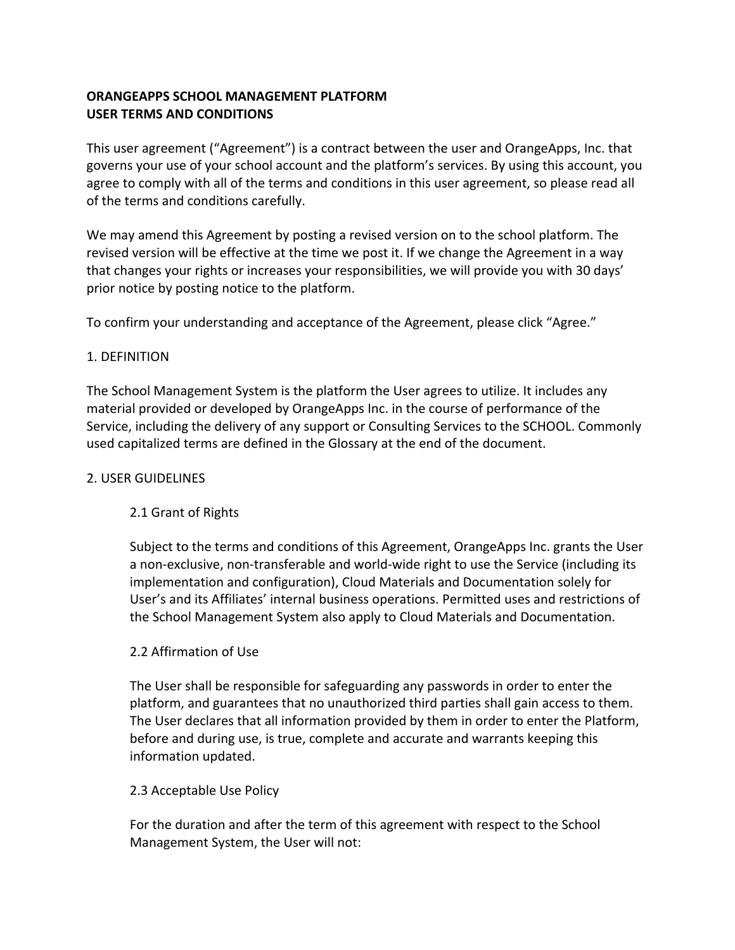# **ORANGEAPPS SCHOOL MANAGEMENT PLATFORM USER TERMS AND CONDITIONS**

This user agreement ("Agreement") is a contract between the user and OrangeApps, Inc. that governs your use of your school account and the platform's services. By using this account, you agree to comply with all of the terms and conditions in this user agreement, so please read all of the terms and conditions carefully.

We may amend this Agreement by posting a revised version on to the school platform. The revised version will be effective at the time we post it. If we change the Agreement in a way that changes your rights or increases your responsibilities, we will provide you with 30 days' prior notice by posting notice to the platform.

To confirm your understanding and acceptance of the Agreement, please click "Agree."

### 1. DEFINITION

The School Management System is the platform the User agrees to utilize. It includes any material provided or developed by OrangeApps Inc. in the course of performance of the Service, including the delivery of any support or Consulting Services to the SCHOOL. Commonly used capitalized terms are defined in the Glossary at the end of the document.

### 2. USER GUIDELINES

# 2.1 Grant of Rights

Subject to the terms and conditions of this Agreement, OrangeApps Inc. grants the User a non-exclusive, non-transferable and world-wide right to use the Service (including its implementation and configuration), Cloud Materials and Documentation solely for User's and its Affiliates' internal business operations. Permitted uses and restrictions of the School Management System also apply to Cloud Materials and Documentation.

### 2.2 Affirmation of Use

The User shall be responsible for safeguarding any passwords in order to enter the platform, and guarantees that no unauthorized third parties shall gain access to them. The User declares that all information provided by them in order to enter the Platform, before and during use, is true, complete and accurate and warrants keeping this information updated.

### 2.3 Acceptable Use Policy

For the duration and after the term of this agreement with respect to the School Management System, the User will not: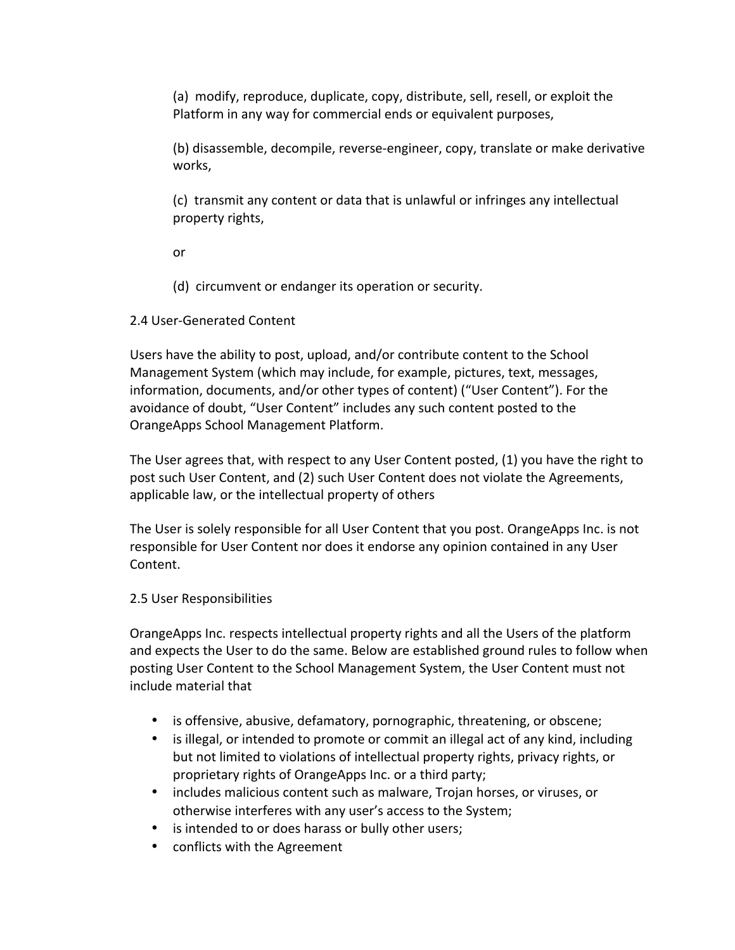(a) modify, reproduce, duplicate, copy, distribute, sell, resell, or exploit the Platform in any way for commercial ends or equivalent purposes,

(b) disassemble, decompile, reverse-engineer, copy, translate or make derivative works, 

(c) transmit any content or data that is unlawful or infringes any intellectual property rights,

or 

(d) circumvent or endanger its operation or security.

# 2.4 User-Generated Content

Users have the ability to post, upload, and/or contribute content to the School Management System (which may include, for example, pictures, text, messages, information, documents, and/or other types of content) ("User Content"). For the avoidance of doubt, "User Content" includes any such content posted to the OrangeApps School Management Platform.

The User agrees that, with respect to any User Content posted, (1) you have the right to post such User Content, and (2) such User Content does not violate the Agreements, applicable law, or the intellectual property of others

The User is solely responsible for all User Content that you post. OrangeApps Inc. is not responsible for User Content nor does it endorse any opinion contained in any User Content. 

# 2.5 User Responsibilities

OrangeApps Inc. respects intellectual property rights and all the Users of the platform and expects the User to do the same. Below are established ground rules to follow when posting User Content to the School Management System, the User Content must not include material that

- is offensive, abusive, defamatory, pornographic, threatening, or obscene;
- is illegal, or intended to promote or commit an illegal act of any kind, including but not limited to violations of intellectual property rights, privacy rights, or proprietary rights of OrangeApps Inc. or a third party;
- includes malicious content such as malware, Trojan horses, or viruses, or otherwise interferes with any user's access to the System;
- is intended to or does harass or bully other users;
- conflicts with the Agreement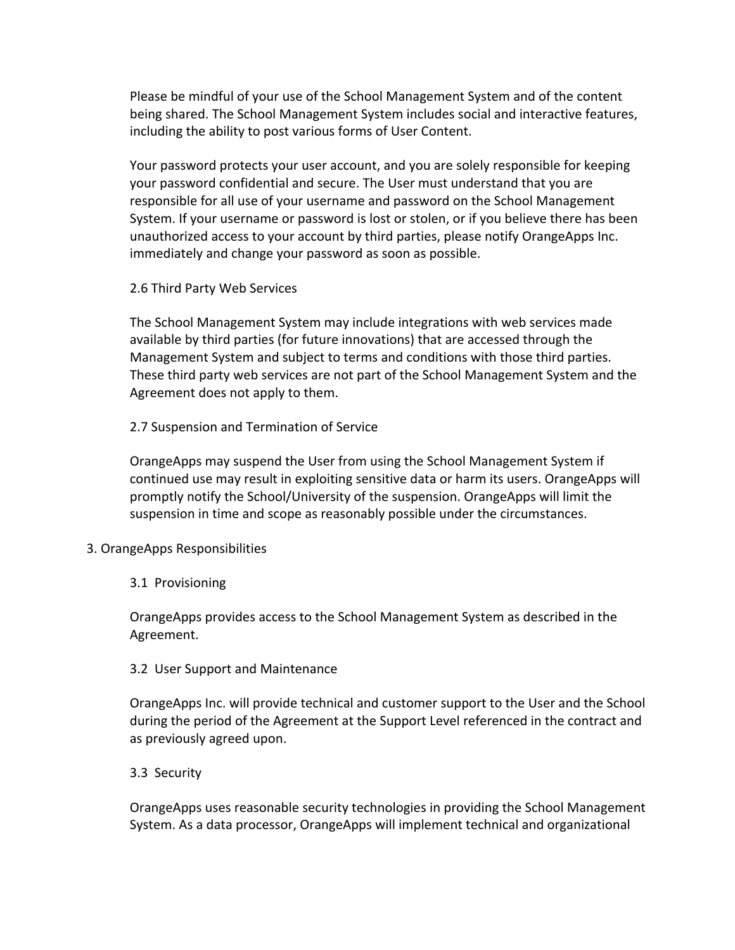Please be mindful of your use of the School Management System and of the content being shared. The School Management System includes social and interactive features, including the ability to post various forms of User Content.

Your password protects your user account, and you are solely responsible for keeping your password confidential and secure. The User must understand that you are responsible for all use of your username and password on the School Management System. If your username or password is lost or stolen, or if you believe there has been unauthorized access to your account by third parties, please notify OrangeApps Inc. immediately and change your password as soon as possible.

2.6 Third Party Web Services

The School Management System may include integrations with web services made available by third parties (for future innovations) that are accessed through the Management System and subject to terms and conditions with those third parties. These third party web services are not part of the School Management System and the Agreement does not apply to them.

2.7 Suspension and Termination of Service

OrangeApps may suspend the User from using the School Management System if continued use may result in exploiting sensitive data or harm its users. OrangeApps will promptly notify the School/University of the suspension. OrangeApps will limit the suspension in time and scope as reasonably possible under the circumstances.

- 3. OrangeApps Responsibilities
	- 3.1 Provisioning

OrangeApps provides access to the School Management System as described in the Agreement. 

# 3.2 User Support and Maintenance

OrangeApps Inc. will provide technical and customer support to the User and the School during the period of the Agreement at the Support Level referenced in the contract and as previously agreed upon.

# 3.3 Security

OrangeApps uses reasonable security technologies in providing the School Management System. As a data processor, OrangeApps will implement technical and organizational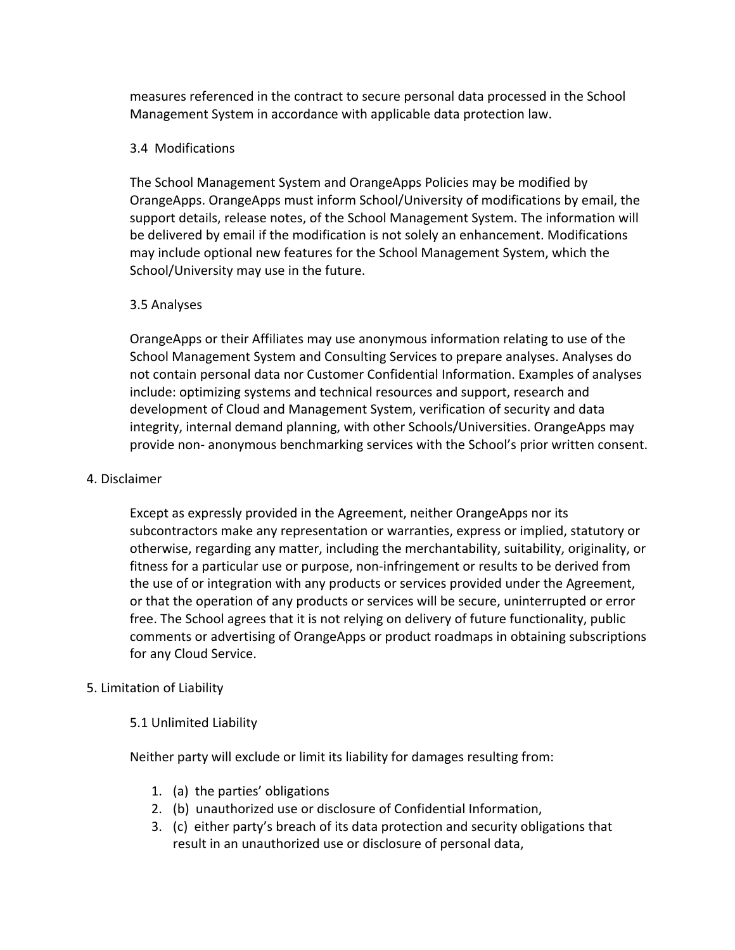measures referenced in the contract to secure personal data processed in the School Management System in accordance with applicable data protection law.

### 3.4 Modifications

The School Management System and OrangeApps Policies may be modified by OrangeApps. OrangeApps must inform School/University of modifications by email, the support details, release notes, of the School Management System. The information will be delivered by email if the modification is not solely an enhancement. Modifications may include optional new features for the School Management System, which the School/University may use in the future.

### 3.5 Analyses

OrangeApps or their Affiliates may use anonymous information relating to use of the School Management System and Consulting Services to prepare analyses. Analyses do not contain personal data nor Customer Confidential Information. Examples of analyses include: optimizing systems and technical resources and support, research and development of Cloud and Management System, verification of security and data integrity, internal demand planning, with other Schools/Universities. OrangeApps may provide non- anonymous benchmarking services with the School's prior written consent.

### 4. Disclaimer

Except as expressly provided in the Agreement, neither OrangeApps nor its subcontractors make any representation or warranties, express or implied, statutory or otherwise, regarding any matter, including the merchantability, suitability, originality, or fitness for a particular use or purpose, non-infringement or results to be derived from the use of or integration with any products or services provided under the Agreement, or that the operation of any products or services will be secure, uninterrupted or error free. The School agrees that it is not relying on delivery of future functionality, public comments or advertising of OrangeApps or product roadmaps in obtaining subscriptions for any Cloud Service.

# 5. Limitation of Liability

# 5.1 Unlimited Liability

Neither party will exclude or limit its liability for damages resulting from:

- 1. (a) the parties' obligations
- 2. (b) unauthorized use or disclosure of Confidential Information,
- 3. (c) either party's breach of its data protection and security obligations that result in an unauthorized use or disclosure of personal data,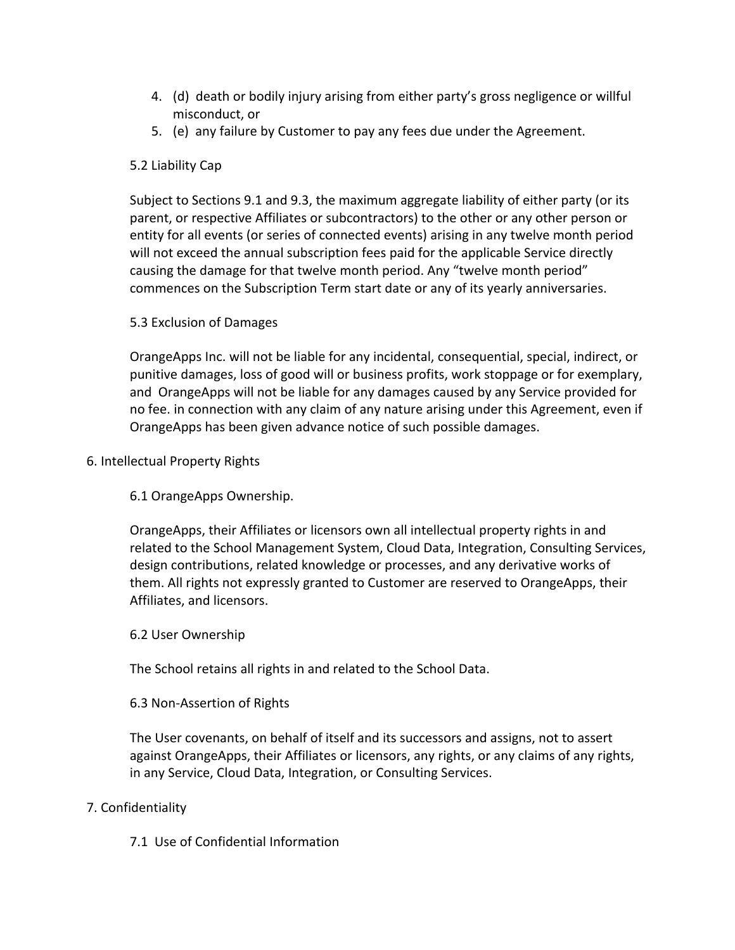- 4. (d) death or bodily injury arising from either party's gross negligence or willful misconduct, or
- 5. (e) any failure by Customer to pay any fees due under the Agreement.

# 5.2 Liability Cap

Subject to Sections 9.1 and 9.3, the maximum aggregate liability of either party (or its parent, or respective Affiliates or subcontractors) to the other or any other person or entity for all events (or series of connected events) arising in any twelve month period will not exceed the annual subscription fees paid for the applicable Service directly causing the damage for that twelve month period. Any "twelve month period" commences on the Subscription Term start date or any of its yearly anniversaries.

# 5.3 Exclusion of Damages

OrangeApps Inc. will not be liable for any incidental, consequential, special, indirect, or punitive damages, loss of good will or business profits, work stoppage or for exemplary, and OrangeApps will not be liable for any damages caused by any Service provided for no fee. in connection with any claim of any nature arising under this Agreement, even if OrangeApps has been given advance notice of such possible damages.

# 6. Intellectual Property Rights

6.1 OrangeApps Ownership. 

OrangeApps, their Affiliates or licensors own all intellectual property rights in and related to the School Management System, Cloud Data, Integration, Consulting Services, design contributions, related knowledge or processes, and any derivative works of them. All rights not expressly granted to Customer are reserved to OrangeApps, their Affiliates, and licensors.

### 6.2 User Ownership

The School retains all rights in and related to the School Data.

# 6.3 Non-Assertion of Rights

The User covenants, on behalf of itself and its successors and assigns, not to assert against OrangeApps, their Affiliates or licensors, any rights, or any claims of any rights, in any Service, Cloud Data, Integration, or Consulting Services.

# 7. Confidentiality

7.1 Use of Confidential Information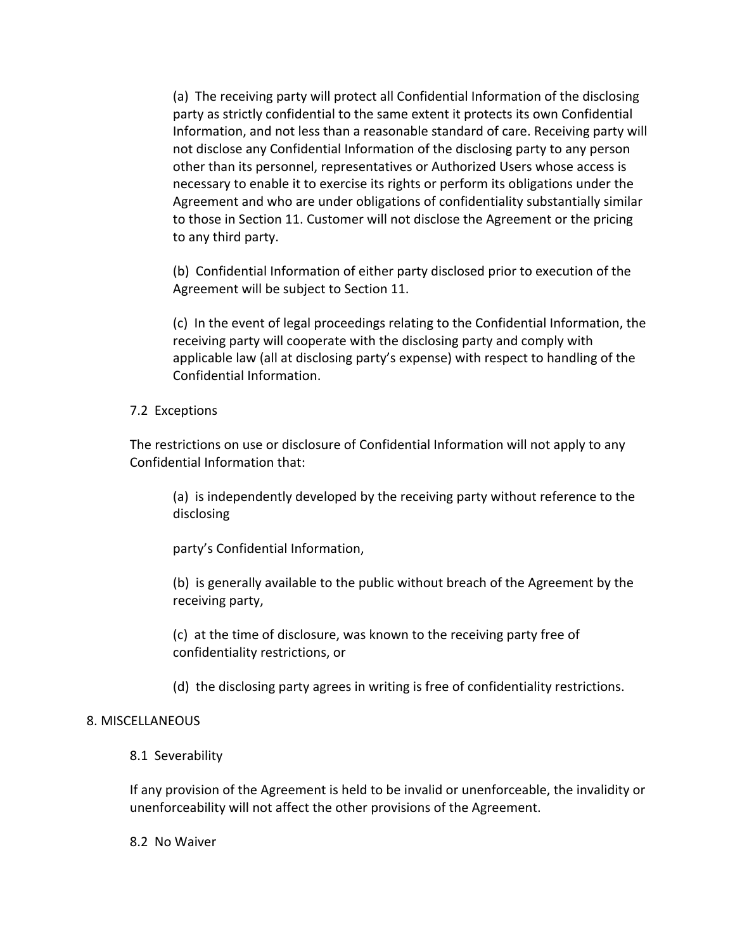(a) The receiving party will protect all Confidential Information of the disclosing party as strictly confidential to the same extent it protects its own Confidential Information, and not less than a reasonable standard of care. Receiving party will not disclose any Confidential Information of the disclosing party to any person other than its personnel, representatives or Authorized Users whose access is necessary to enable it to exercise its rights or perform its obligations under the Agreement and who are under obligations of confidentiality substantially similar to those in Section 11. Customer will not disclose the Agreement or the pricing to any third party.

(b) Confidential Information of either party disclosed prior to execution of the Agreement will be subject to Section 11.

(c) In the event of legal proceedings relating to the Confidential Information, the receiving party will cooperate with the disclosing party and comply with applicable law (all at disclosing party's expense) with respect to handling of the Confidential Information.

#### 7.2 Exceptions

The restrictions on use or disclosure of Confidential Information will not apply to any Confidential Information that:

(a) is independently developed by the receiving party without reference to the disclosing 

party's Confidential Information,

(b) is generally available to the public without breach of the Agreement by the receiving party,

(c) at the time of disclosure, was known to the receiving party free of confidentiality restrictions, or

(d) the disclosing party agrees in writing is free of confidentiality restrictions.

### 8. MISCELLANEOUS

### 8.1 Severability

If any provision of the Agreement is held to be invalid or unenforceable, the invalidity or unenforceability will not affect the other provisions of the Agreement.

8.2 No Waiver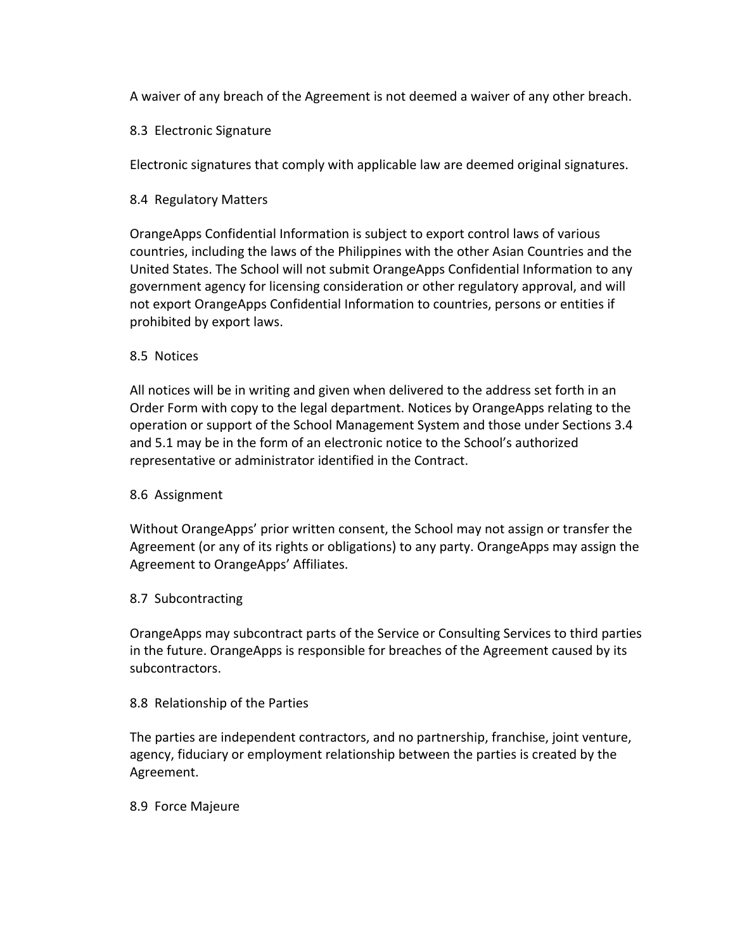A waiver of any breach of the Agreement is not deemed a waiver of any other breach.

### 8.3 Electronic Signature

Electronic signatures that comply with applicable law are deemed original signatures.

8.4 Regulatory Matters

OrangeApps Confidential Information is subject to export control laws of various countries, including the laws of the Philippines with the other Asian Countries and the United States. The School will not submit OrangeApps Confidential Information to any government agency for licensing consideration or other regulatory approval, and will not export OrangeApps Confidential Information to countries, persons or entities if prohibited by export laws.

### 8.5 Notices

All notices will be in writing and given when delivered to the address set forth in an Order Form with copy to the legal department. Notices by OrangeApps relating to the operation or support of the School Management System and those under Sections 3.4 and 5.1 may be in the form of an electronic notice to the School's authorized representative or administrator identified in the Contract.

### 8.6 Assignment

Without OrangeApps' prior written consent, the School may not assign or transfer the Agreement (or any of its rights or obligations) to any party. OrangeApps may assign the Agreement to OrangeApps' Affiliates.

### 8.7 Subcontracting

OrangeApps may subcontract parts of the Service or Consulting Services to third parties in the future. OrangeApps is responsible for breaches of the Agreement caused by its subcontractors. 

### 8.8 Relationship of the Parties

The parties are independent contractors, and no partnership, franchise, joint venture, agency, fiduciary or employment relationship between the parties is created by the Agreement. 

### 8.9 Force Majeure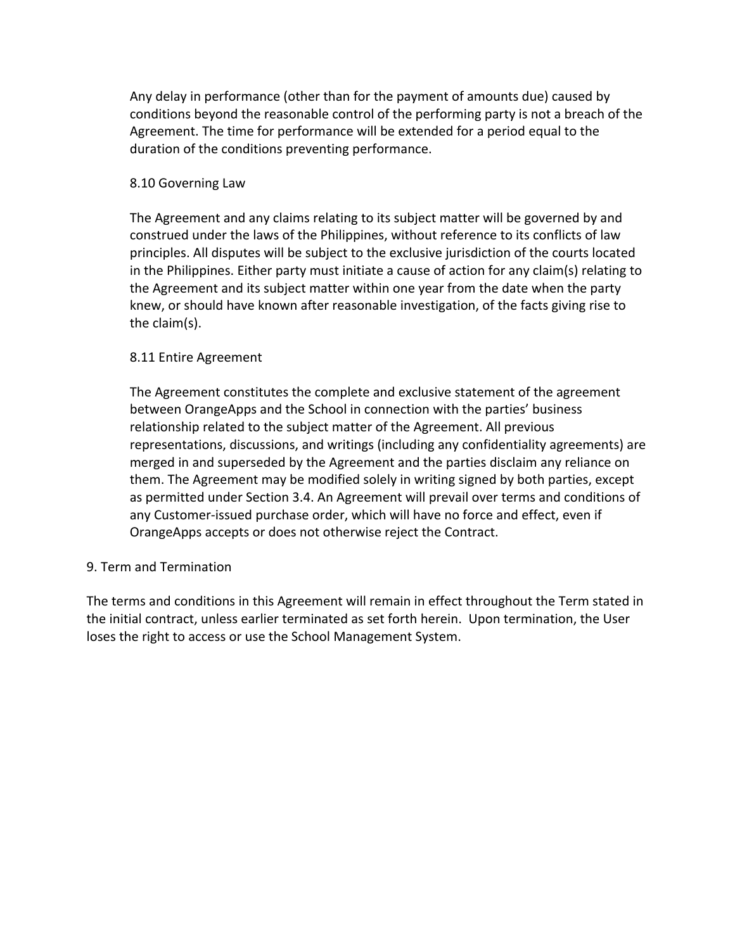Any delay in performance (other than for the payment of amounts due) caused by conditions beyond the reasonable control of the performing party is not a breach of the Agreement. The time for performance will be extended for a period equal to the duration of the conditions preventing performance.

#### 8.10 Governing Law

The Agreement and any claims relating to its subject matter will be governed by and construed under the laws of the Philippines, without reference to its conflicts of law principles. All disputes will be subject to the exclusive jurisdiction of the courts located in the Philippines. Either party must initiate a cause of action for any claim(s) relating to the Agreement and its subject matter within one year from the date when the party knew, or should have known after reasonable investigation, of the facts giving rise to the  $claim(s)$ .

#### 8.11 Entire Agreement

The Agreement constitutes the complete and exclusive statement of the agreement between OrangeApps and the School in connection with the parties' business relationship related to the subject matter of the Agreement. All previous representations, discussions, and writings (including any confidentiality agreements) are merged in and superseded by the Agreement and the parties disclaim any reliance on them. The Agreement may be modified solely in writing signed by both parties, except as permitted under Section 3.4. An Agreement will prevail over terms and conditions of any Customer-issued purchase order, which will have no force and effect, even if OrangeApps accepts or does not otherwise reject the Contract.

### 9. Term and Termination

The terms and conditions in this Agreement will remain in effect throughout the Term stated in the initial contract, unless earlier terminated as set forth herein. Upon termination, the User loses the right to access or use the School Management System.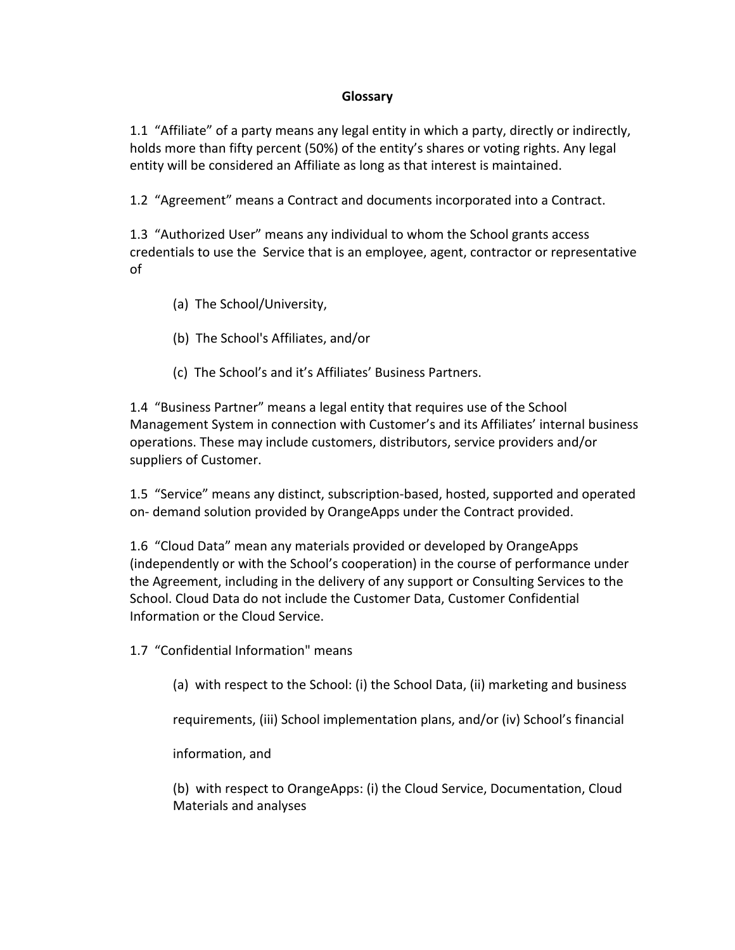### **Glossary**

1.1 "Affiliate" of a party means any legal entity in which a party, directly or indirectly, holds more than fifty percent (50%) of the entity's shares or voting rights. Any legal entity will be considered an Affiliate as long as that interest is maintained.

1.2 "Agreement" means a Contract and documents incorporated into a Contract.

1.3 "Authorized User" means any individual to whom the School grants access credentials to use the Service that is an employee, agent, contractor or representative of 

- (a) The School/University,
- (b) The School's Affiliates, and/or
- (c) The School's and it's Affiliates' Business Partners.

1.4 "Business Partner" means a legal entity that requires use of the School Management System in connection with Customer's and its Affiliates' internal business operations. These may include customers, distributors, service providers and/or suppliers of Customer.

1.5 "Service" means any distinct, subscription-based, hosted, supported and operated on- demand solution provided by OrangeApps under the Contract provided.

1.6 "Cloud Data" mean any materials provided or developed by OrangeApps (independently or with the School's cooperation) in the course of performance under the Agreement, including in the delivery of any support or Consulting Services to the School. Cloud Data do not include the Customer Data, Customer Confidential Information or the Cloud Service.

1.7 "Confidential Information" means

(a) with respect to the School: (i) the School Data, (ii) marketing and business

requirements, (iii) School implementation plans, and/or (iv) School's financial

information, and 

(b) with respect to OrangeApps: (i) the Cloud Service, Documentation, Cloud Materials and analyses